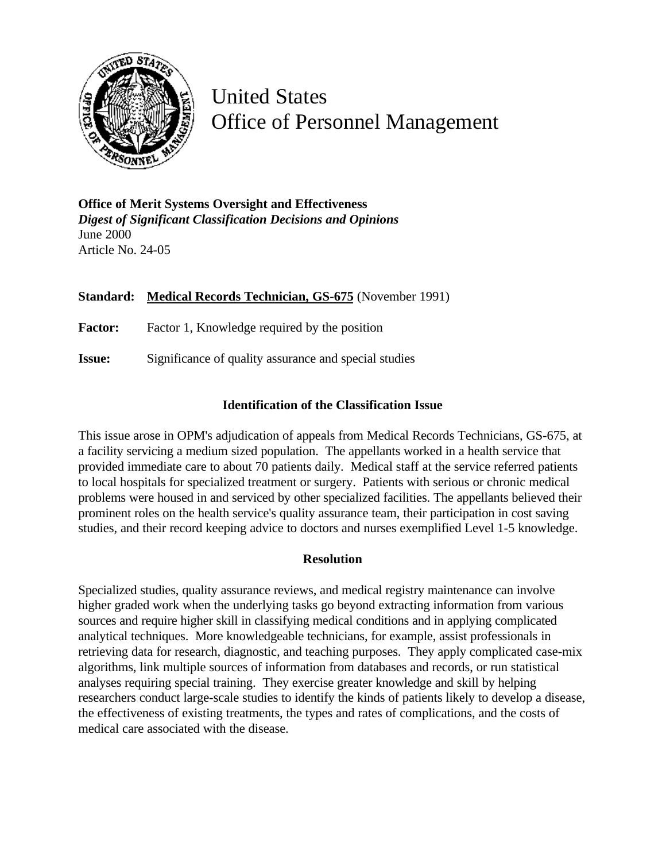

United States Office of Personnel Management

**Office of Merit Systems Oversight and Effectiveness** *Digest of Significant Classification Decisions and Opinions* June 2000 Article No. 24-05

## **Standard: Medical Records Technician, GS-675** (November 1991)

Factor: Factor 1, Knowledge required by the position

**Issue:** Significance of quality assurance and special studies

## **Identification of the Classification Issue**

This issue arose in OPM's adjudication of appeals from Medical Records Technicians, GS-675, at a facility servicing a medium sized population. The appellants worked in a health service that provided immediate care to about 70 patients daily. Medical staff at the service referred patients to local hospitals for specialized treatment or surgery. Patients with serious or chronic medical problems were housed in and serviced by other specialized facilities. The appellants believed their prominent roles on the health service's quality assurance team, their participation in cost saving studies, and their record keeping advice to doctors and nurses exemplified Level 1-5 knowledge.

## **Resolution**

Specialized studies, quality assurance reviews, and medical registry maintenance can involve higher graded work when the underlying tasks go beyond extracting information from various sources and require higher skill in classifying medical conditions and in applying complicated analytical techniques. More knowledgeable technicians, for example, assist professionals in retrieving data for research, diagnostic, and teaching purposes. They apply complicated case-mix algorithms, link multiple sources of information from databases and records, or run statistical analyses requiring special training. They exercise greater knowledge and skill by helping researchers conduct large-scale studies to identify the kinds of patients likely to develop a disease, the effectiveness of existing treatments, the types and rates of complications, and the costs of medical care associated with the disease.